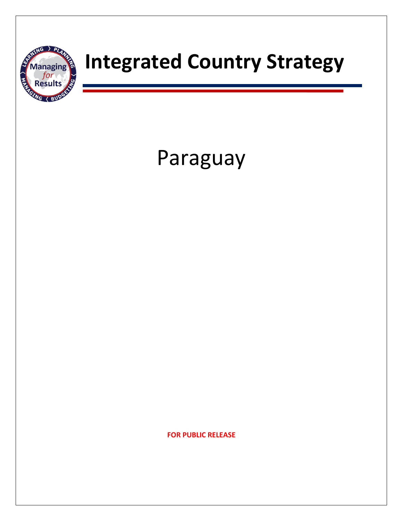

# Paraguay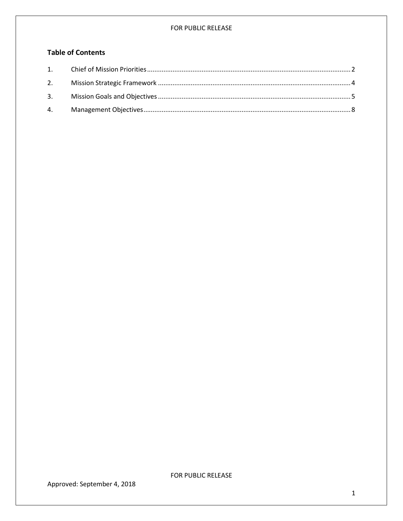# **Table of Contents**

<span id="page-1-0"></span>

Approved: September 4, 2018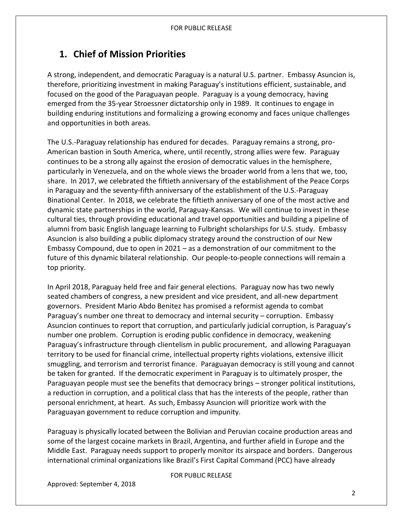# **1. Chief of Mission Priorities**

A strong, independent, and democratic Paraguay is a natural U.S. partner. Embassy Asuncion is, therefore, prioritizing investment in making Paraguay's institutions efficient, sustainable, and focused on the good of the Paraguayan people. Paraguay is a young democracy, having emerged from the 35-year Stroessner dictatorship only in 1989. It continues to engage in building enduring institutions and formalizing a growing economy and faces unique challenges and opportunities in both areas.

The U.S.-Paraguay relationship has endured for decades. Paraguay remains a strong, pro-American bastion in South America, where, until recently, strong allies were few. Paraguay continues to be a strong ally against the erosion of democratic values in the hemisphere, particularly in Venezuela, and on the whole views the broader world from a lens that we, too, share. In 2017, we celebrated the fiftieth anniversary of the establishment of the Peace Corps in Paraguay and the seventy-fifth anniversary of the establishment of the U.S.-Paraguay Binational Center. In 2018, we celebrate the fiftieth anniversary of one of the most active and dynamic state partnerships in the world, Paraguay-Kansas. We will continue to invest in these cultural ties, through providing educational and travel opportunities and building a pipeline of alumni from basic English language learning to Fulbright scholarships for U.S. study. Embassy Asuncion is also building a public diplomacy strategy around the construction of our New Embassy Compound, due to open in 2021 – as a demonstration of our commitment to the future of this dynamic bilateral relationship. Our people-to-people connections will remain a top priority.

In April 2018, Paraguay held free and fair general elections. Paraguay now has two newly seated chambers of congress, a new president and vice president, and all-new department governors. President Mario Abdo Benitez has promised a reformist agenda to combat Paraguay's number one threat to democracy and internal security – corruption. Embassy Asuncion continues to report that corruption, and particularly judicial corruption, is Paraguay's number one problem. Corruption is eroding public confidence in democracy, weakening Paraguay's infrastructure through clientelism in public procurement, and allowing Paraguayan territory to be used for financial crime, intellectual property rights violations, extensive illicit smuggling, and terrorism and terrorist finance. Paraguayan democracy is still young and cannot be taken for granted. If the democratic experiment in Paraguay is to ultimately prosper, the Paraguayan people must see the benefits that democracy brings – stronger political institutions, a reduction in corruption, and a political class that has the interests of the people, rather than personal enrichment, at heart. As such, Embassy Asuncion will prioritize work with the Paraguayan government to reduce corruption and impunity.

Paraguay is physically located between the Bolivian and Peruvian cocaine production areas and some of the largest cocaine markets in Brazil, Argentina, and further afield in Europe and the Middle East. Paraguay needs support to properly monitor its airspace and borders. Dangerous international criminal organizations like Brazil's First Capital Command (PCC) have already

FOR PUBLIC RELEASE

Approved: September 4, 2018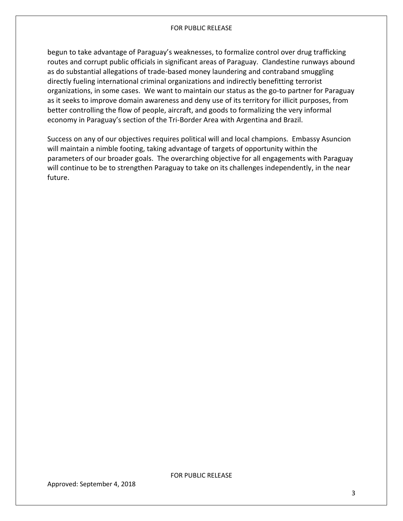begun to take advantage of Paraguay's weaknesses, to formalize control over drug trafficking routes and corrupt public officials in significant areas of Paraguay. Clandestine runways abound as do substantial allegations of trade-based money laundering and contraband smuggling directly fueling international criminal organizations and indirectly benefitting terrorist organizations, in some cases. We want to maintain our status as the go-to partner for Paraguay as it seeks to improve domain awareness and deny use of its territory for illicit purposes, from better controlling the flow of people, aircraft, and goods to formalizing the very informal economy in Paraguay's section of the Tri-Border Area with Argentina and Brazil.

Success on any of our objectives requires political will and local champions. Embassy Asuncion will maintain a nimble footing, taking advantage of targets of opportunity within the parameters of our broader goals. The overarching objective for all engagements with Paraguay will continue to be to strengthen Paraguay to take on its challenges independently, in the near future.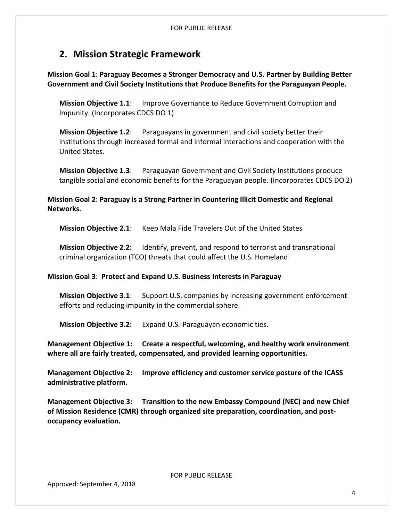# <span id="page-4-0"></span>**2. Mission Strategic Framework**

**Mission Goal 1**: **Paraguay Becomes a Stronger Democracy and U.S. Partner by Building Better Government and Civil Society Institutions that Produce Benefits for the Paraguayan People.**

**Mission Objective 1.1**: Improve Governance to Reduce Government Corruption and Impunity. (Incorporates CDCS DO 1)

**Mission Objective 1.2**: Paraguayans in government and civil society better their institutions through increased formal and informal interactions and cooperation with the United States.

**Mission Objective 1.3**: Paraguayan Government and Civil Society Institutions produce tangible social and economic benefits for the Paraguayan people. (Incorporates CDCS DO 2)

**Mission Goal 2**: **Paraguay is a Strong Partner in Countering Illicit Domestic and Regional Networks.**

**Mission Objective 2.1**: Keep Mala Fide Travelers Out of the United States

**Mission Objective 2**.**2:** Identify, prevent, and respond to terrorist and transnational criminal organization (TCO) threats that could affect the U.S. Homeland

### **Mission Goal 3**: **Protect and Expand U.S. Business Interests in Paraguay**

**Mission Objective 3.1**: Support U.S. companies by increasing government enforcement efforts and reducing impunity in the commercial sphere.

**Mission Objective 3.2:** Expand U.S.-Paraguayan economic ties.

**Management Objective 1: Create a respectful, welcoming, and healthy work environment where all are fairly treated, compensated, and provided learning opportunities.**

<span id="page-4-1"></span>**Management Objective 2: Improve efficiency and customer service posture of the ICASS administrative platform.** 

**Management Objective 3: Transition to the new Embassy Compound (NEC) and new Chief of Mission Residence (CMR) through organized site preparation, coordination, and postoccupancy evaluation.**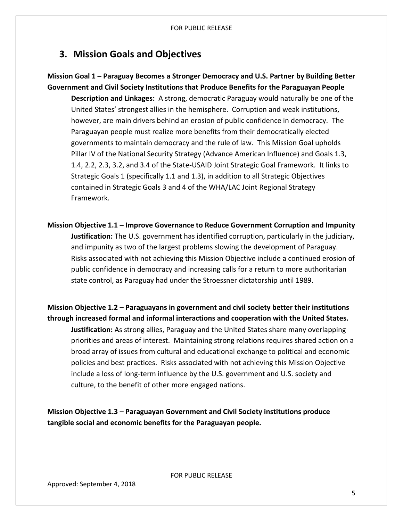# **3. Mission Goals and Objectives**

## **Mission Goal 1 – Paraguay Becomes a Stronger Democracy and U.S. Partner by Building Better Government and Civil Society Institutions that Produce Benefits for the Paraguayan People**

**Description and Linkages:** A strong, democratic Paraguay would naturally be one of the United States' strongest allies in the hemisphere. Corruption and weak institutions, however, are main drivers behind an erosion of public confidence in democracy. The Paraguayan people must realize more benefits from their democratically elected governments to maintain democracy and the rule of law. This Mission Goal upholds Pillar IV of the National Security Strategy (Advance American Influence) and Goals 1.3, 1.4, 2.2, 2.3, 3.2, and 3.4 of the State-USAID Joint Strategic Goal Framework. It links to Strategic Goals 1 (specifically 1.1 and 1.3), in addition to all Strategic Objectives contained in Strategic Goals 3 and 4 of the WHA/LAC Joint Regional Strategy Framework.

**Mission Objective 1.1 – Improve Governance to Reduce Government Corruption and Impunity Justification:** The U.S. government has identified corruption, particularly in the judiciary, and impunity as two of the largest problems slowing the development of Paraguay. Risks associated with not achieving this Mission Objective include a continued erosion of public confidence in democracy and increasing calls for a return to more authoritarian state control, as Paraguay had under the Stroessner dictatorship until 1989.

**Mission Objective 1.2 – Paraguayans in government and civil society better their institutions through increased formal and informal interactions and cooperation with the United States.**

**Justification:** As strong allies, Paraguay and the United States share many overlapping priorities and areas of interest. Maintaining strong relations requires shared action on a broad array of issues from cultural and educational exchange to political and economic policies and best practices. Risks associated with not achieving this Mission Objective include a loss of long-term influence by the U.S. government and U.S. society and culture, to the benefit of other more engaged nations.

**Mission Objective 1.3 – Paraguayan Government and Civil Society institutions produce tangible social and economic benefits for the Paraguayan people.**

<span id="page-5-0"></span>FOR PUBLIC RELEASE

Approved: September 4, 2018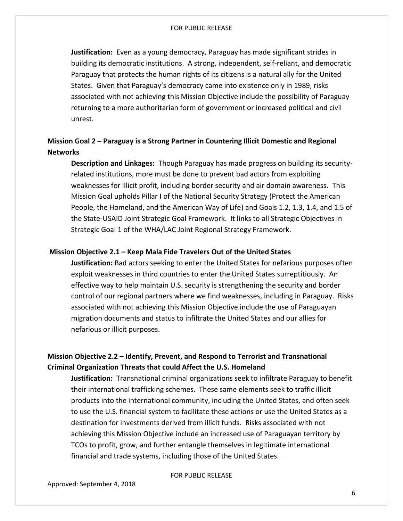**Justification:** Even as a young democracy, Paraguay has made significant strides in building its democratic institutions. A strong, independent, self-reliant, and democratic Paraguay that protects the human rights of its citizens is a natural ally for the United States. Given that Paraguay's democracy came into existence only in 1989, risks associated with not achieving this Mission Objective include the possibility of Paraguay returning to a more authoritarian form of government or increased political and civil unrest.

## **Mission Goal 2 – Paraguay is a Strong Partner in Countering Illicit Domestic and Regional Networks**

**Description and Linkages:** Though Paraguay has made progress on building its securityrelated institutions, more must be done to prevent bad actors from exploiting weaknesses for illicit profit, including border security and air domain awareness. This Mission Goal upholds Pillar I of the National Security Strategy (Protect the American People, the Homeland, and the American Way of Life) and Goals 1.2, 1.3, 1.4, and 1.5 of the State-USAID Joint Strategic Goal Framework. It links to all Strategic Objectives in Strategic Goal 1 of the WHA/LAC Joint Regional Strategy Framework.

#### **Mission Objective 2.1 – Keep Mala Fide Travelers Out of the United States**

**Justification:** Bad actors seeking to enter the United States for nefarious purposes often exploit weaknesses in third countries to enter the United States surreptitiously. An effective way to help maintain U.S. security is strengthening the security and border control of our regional partners where we find weaknesses, including in Paraguay. Risks associated with not achieving this Mission Objective include the use of Paraguayan migration documents and status to infiltrate the United States and our allies for nefarious or illicit purposes.

## **Mission Objective 2.2 – Identify, Prevent, and Respond to Terrorist and Transnational Criminal Organization Threats that could Affect the U.S. Homeland**

**Justification:** Transnational criminal organizations seek to infiltrate Paraguay to benefit their international trafficking schemes. These same elements seek to traffic illicit products into the international community, including the United States, and often seek to use the U.S. financial system to facilitate these actions or use the United States as a destination for investments derived from illicit funds. Risks associated with not achieving this Mission Objective include an increased use of Paraguayan territory by TCOs to profit, grow, and further entangle themselves in legitimate international financial and trade systems, including those of the United States.

FOR PUBLIC RELEASE

Approved: September 4, 2018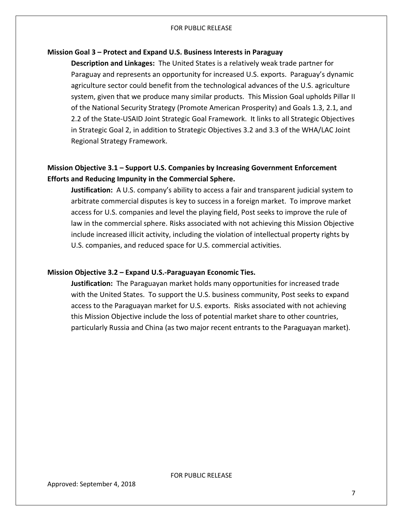#### **Mission Goal 3 – Protect and Expand U.S. Business Interests in Paraguay**

**Description and Linkages:** The United States is a relatively weak trade partner for Paraguay and represents an opportunity for increased U.S. exports. Paraguay's dynamic agriculture sector could benefit from the technological advances of the U.S. agriculture system, given that we produce many similar products. This Mission Goal upholds Pillar II of the National Security Strategy (Promote American Prosperity) and Goals 1.3, 2.1, and 2.2 of the State-USAID Joint Strategic Goal Framework. It links to all Strategic Objectives in Strategic Goal 2, in addition to Strategic Objectives 3.2 and 3.3 of the WHA/LAC Joint Regional Strategy Framework.

## **Mission Objective 3.1 – Support U.S. Companies by Increasing Government Enforcement Efforts and Reducing Impunity in the Commercial Sphere.**

**Justification:** A U.S. company's ability to access a fair and transparent judicial system to arbitrate commercial disputes is key to success in a foreign market. To improve market access for U.S. companies and level the playing field, Post seeks to improve the rule of law in the commercial sphere. Risks associated with not achieving this Mission Objective include increased illicit activity, including the violation of intellectual property rights by U.S. companies, and reduced space for U.S. commercial activities.

#### **Mission Objective 3.2 – Expand U.S.-Paraguayan Economic Ties.**

**Justification:** The Paraguayan market holds many opportunities for increased trade with the United States. To support the U.S. business community, Post seeks to expand access to the Paraguayan market for U.S. exports. Risks associated with not achieving this Mission Objective include the loss of potential market share to other countries, particularly Russia and China (as two major recent entrants to the Paraguayan market).